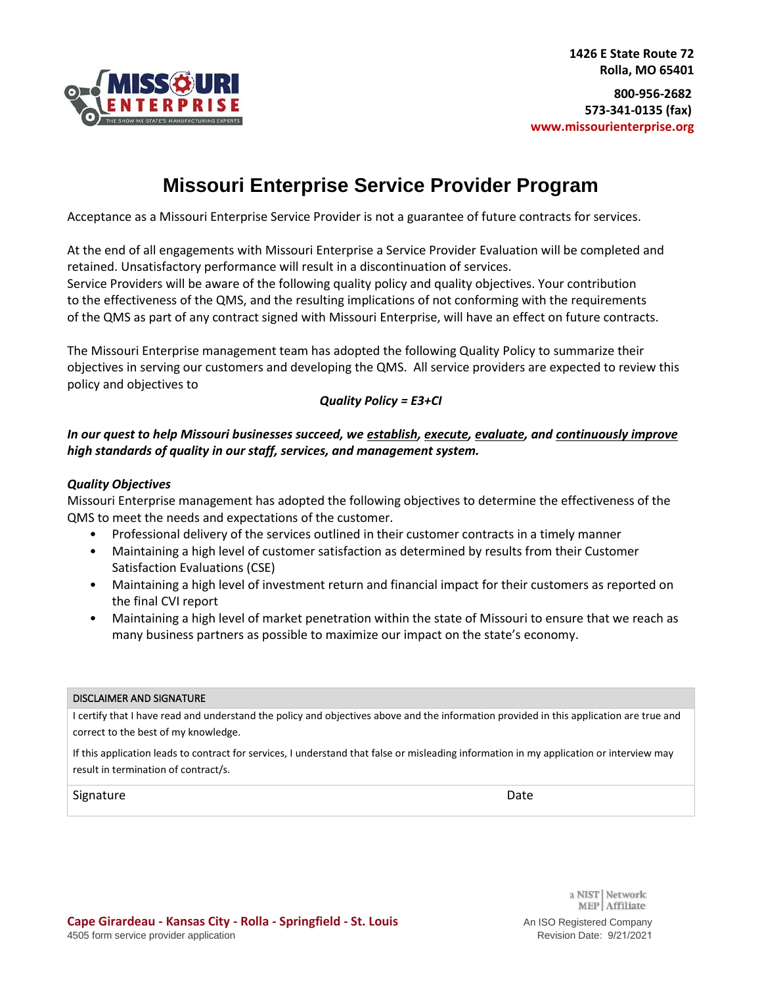

# **Missouri Enterprise Service Provider Program**

Acceptance as a Missouri Enterprise Service Provider is not a guarantee of future contracts for services.

At the end of all engagements with Missouri Enterprise a Service Provider Evaluation will be completed and retained. Unsatisfactory performance will result in a discontinuation of services. Service Providers will be aware of the following quality policy and quality objectives. Your contribution to the effectiveness of the QMS, and the resulting implications of not conforming with the requirements of the QMS as part of any contract signed with Missouri Enterprise, will have an effect on future contracts.

The Missouri Enterprise management team has adopted the following Quality Policy to summarize their objectives in serving our customers and developing the QMS. All service providers are expected to review this policy and objectives to

### *Quality Policy = E3+CI*

### *In our quest to help Missouri businesses succeed, we establish, execute, evaluate, and continuously improve high standards of quality in our staff, services, and management system.*

### *Quality Objectives*

Missouri Enterprise management has adopted the following objectives to determine the effectiveness of the QMS to meet the needs and expectations of the customer.

- Professional delivery of the services outlined in their customer contracts in a timely manner
- Maintaining a high level of customer satisfaction as determined by results from their Customer Satisfaction Evaluations (CSE)
- Maintaining a high level of investment return and financial impact for their customers as reported on the final CVI report
- Maintaining a high level of market penetration within the state of Missouri to ensure that we reach as many business partners as possible to maximize our impact on the state's economy.

#### DISCLAIMER AND SIGNATURE

I certify that I have read and understand the policy and objectives above and the information provided in this application are true and correct to the best of my knowledge.

If this application leads to contract for services, I understand that false or misleading information in my application or interview may result in termination of contract/s.

#### Signature **Date**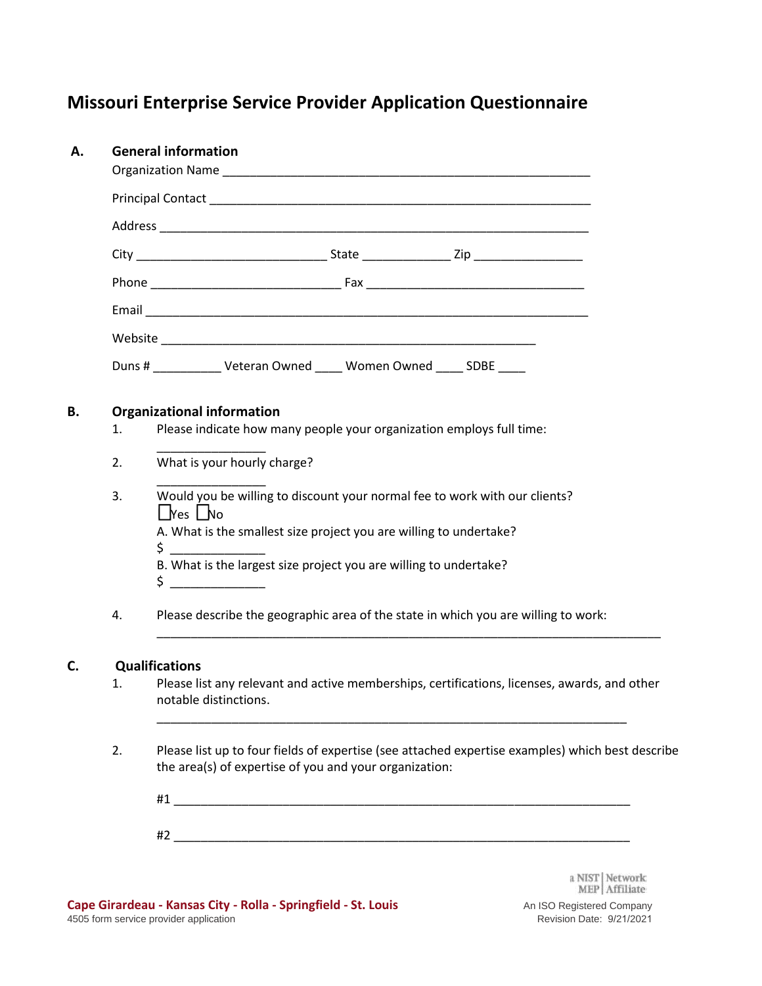# **Missouri Enterprise Service Provider Application Questionnaire**

| Α. | <b>General information</b> |                                                                                                                                                            |  |  |  |  |
|----|----------------------------|------------------------------------------------------------------------------------------------------------------------------------------------------------|--|--|--|--|
|    |                            |                                                                                                                                                            |  |  |  |  |
|    |                            |                                                                                                                                                            |  |  |  |  |
|    |                            |                                                                                                                                                            |  |  |  |  |
|    |                            |                                                                                                                                                            |  |  |  |  |
|    |                            |                                                                                                                                                            |  |  |  |  |
|    |                            |                                                                                                                                                            |  |  |  |  |
|    |                            | Duns # __________ Veteran Owned ____ Women Owned ____ SDBE ____                                                                                            |  |  |  |  |
| В. |                            | <b>Organizational information</b>                                                                                                                          |  |  |  |  |
|    | 1.                         | Please indicate how many people your organization employs full time:                                                                                       |  |  |  |  |
|    | 2.                         | What is your hourly charge?                                                                                                                                |  |  |  |  |
|    | 3.                         | Would you be willing to discount your normal fee to work with our clients?<br>$L$ Yes $L$ No                                                               |  |  |  |  |
|    |                            | A. What is the smallest size project you are willing to undertake?<br>$\zeta$                                                                              |  |  |  |  |
|    |                            | B. What is the largest size project you are willing to undertake?<br>$\zeta$ _____________                                                                 |  |  |  |  |
|    | 4.                         | Please describe the geographic area of the state in which you are willing to work:                                                                         |  |  |  |  |
| C. |                            | <b>Qualifications</b>                                                                                                                                      |  |  |  |  |
|    | 1.                         | Please list any relevant and active memberships, certifications, licenses, awards, and other<br>notable distinctions.                                      |  |  |  |  |
|    | 2.                         | Please list up to four fields of expertise (see attached expertise examples) which best describe<br>the area(s) of expertise of you and your organization: |  |  |  |  |
|    |                            |                                                                                                                                                            |  |  |  |  |
|    |                            |                                                                                                                                                            |  |  |  |  |
|    |                            |                                                                                                                                                            |  |  |  |  |

a NIST | Network:<br> $\mbox{MEP} \left | \begin{array}{l} \mbox{Affiliate:} \vspace{0.05in} \vspace{0.05in} \vspace{0.05in} \vspace{0.05in} \vspace{0.05in} \vspace{0.05in} \vspace{0.05in} \vspace{0.05in} \vspace{0.05in} \vspace{0.05in} \vspace{0.05in} \vspace{0.05in} \vspace{0.05in} \vspace{0.05in} \vspace{0.05in} \vspace{0.05in} \vspace{0.05in} \vspace{0$ 

An ISO Registered Company Revision Date: 9/21/2021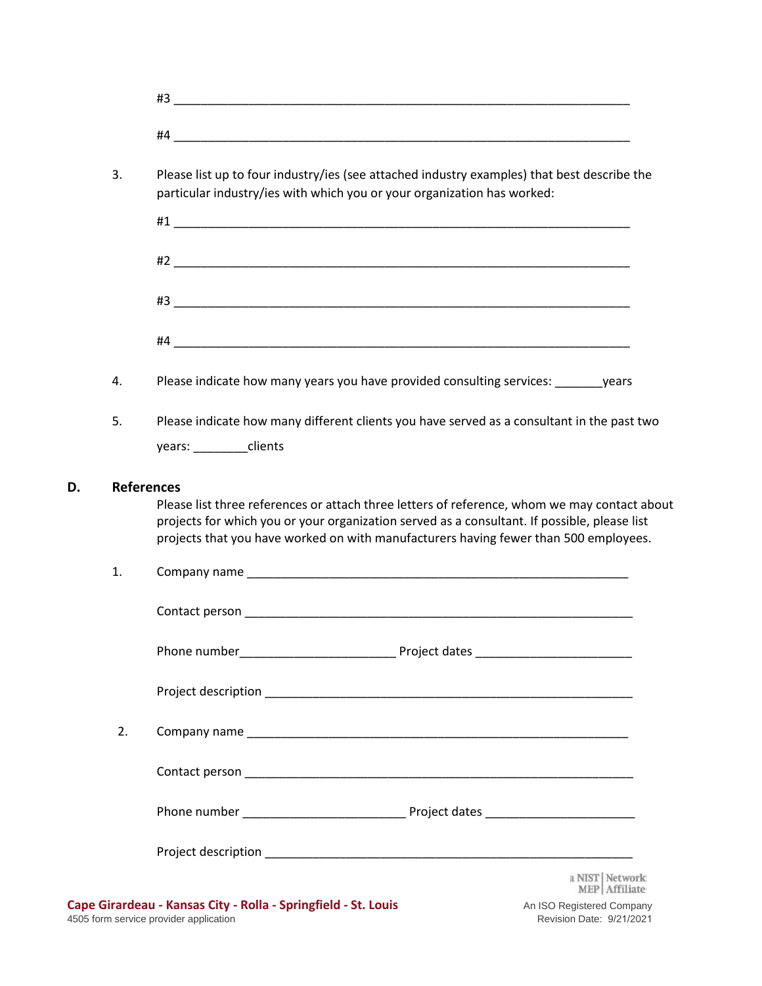| 3. | Please list up to four industry/ies (see attached industry examples) that best describe the<br>particular industry/ies with which you or your organization has worked:               |
|----|--------------------------------------------------------------------------------------------------------------------------------------------------------------------------------------|
|    |                                                                                                                                                                                      |
|    |                                                                                                                                                                                      |
|    |                                                                                                                                                                                      |
|    |                                                                                                                                                                                      |
| 4. | Please indicate how many years you have provided consulting services: years                                                                                                          |
| 5. | Please indicate how many different clients you have served as a consultant in the past two                                                                                           |
|    |                                                                                                                                                                                      |
|    | years: ________clients<br><b>References</b><br>Please list three references or attach three letters of reference, whom we may contact about                                          |
| 1. | projects for which you or your organization served as a consultant. If possible, please list<br>projects that you have worked on with manufacturers having fewer than 500 employees. |
|    |                                                                                                                                                                                      |
|    | Phone number <b>No. 1998</b>                                                                                                                                                         |
|    |                                                                                                                                                                                      |
| 2. |                                                                                                                                                                                      |
|    |                                                                                                                                                                                      |
|    |                                                                                                                                                                                      |

**D. References**

An ISO Registered Company Revision Date: 9/21/2021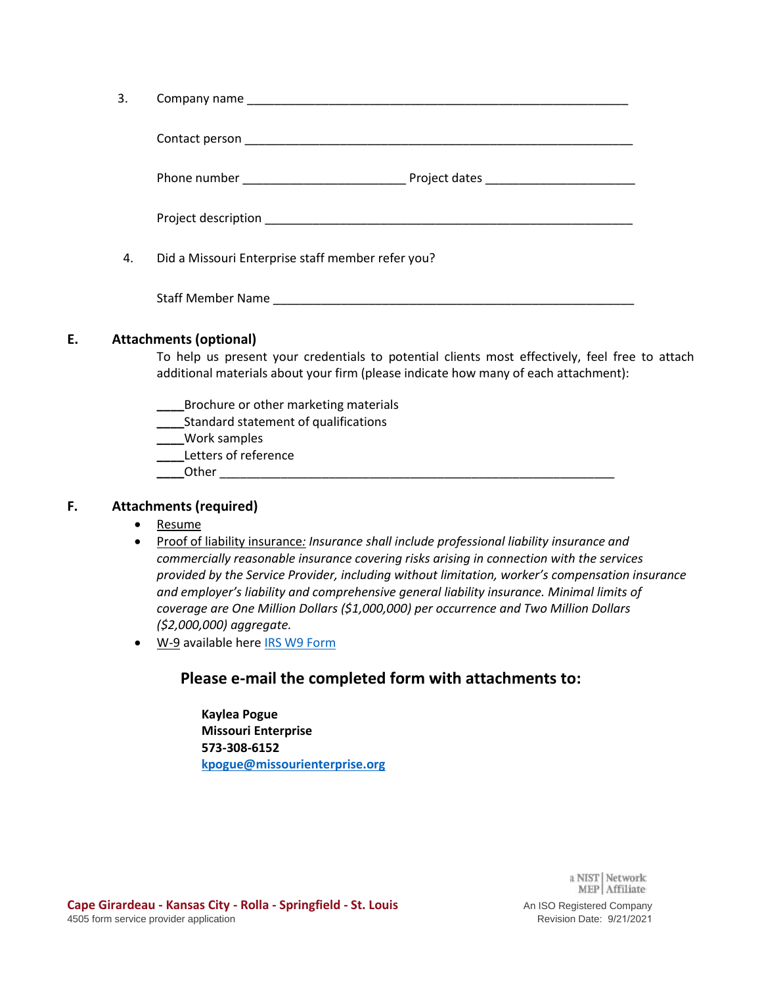| 3. |                                                                                  |  |  |  |
|----|----------------------------------------------------------------------------------|--|--|--|
|    |                                                                                  |  |  |  |
|    | Phone number ___________________________________Project dates __________________ |  |  |  |
|    |                                                                                  |  |  |  |
| 4. | Did a Missouri Enterprise staff member refer you?                                |  |  |  |
|    |                                                                                  |  |  |  |

### **E. Attachments (optional)**

To help us present your credentials to potential clients most effectively, feel free to attach additional materials about your firm (please indicate how many of each attachment):

- **\_\_\_\_**Brochure or other marketing materials
- **\_\_\_\_**Standard statement of qualifications
- **\_\_\_\_**Work samples
- **\_\_\_\_**Letters of reference
- **\_\_\_\_**Other \_\_\_\_\_\_\_\_\_\_\_\_\_\_\_\_\_\_\_\_\_\_\_\_\_\_\_\_\_\_\_\_\_\_\_\_\_\_\_\_\_\_\_\_\_\_\_\_\_\_\_\_\_\_\_\_\_\_

### **F. Attachments (required)**

- Resume
- Proof of liability insurance*: Insurance shall include professional liability insurance and commercially reasonable insurance covering risks arising in connection with the services provided by the Service Provider, including without limitation, worker's compensation insurance and employer's liability and comprehensive general liability insurance. Minimal limits of coverage are One Million Dollars (\$1,000,000) per occurrence and Two Million Dollars (\$2,000,000) aggregate.*
- W-9 available her[e IRS W9 Form](https://www.irs.gov/pub/irs-pdf/fw9.pdf)

## **Please e-mail the completed form with attachments to:**

**Kaylea Pogue Missouri Enterprise 573-308-6152 [kpogue@missourienterprise.org](mailto:kpogue@missourienterprise.org)**

> a NIST Network: MEP Affiliate: